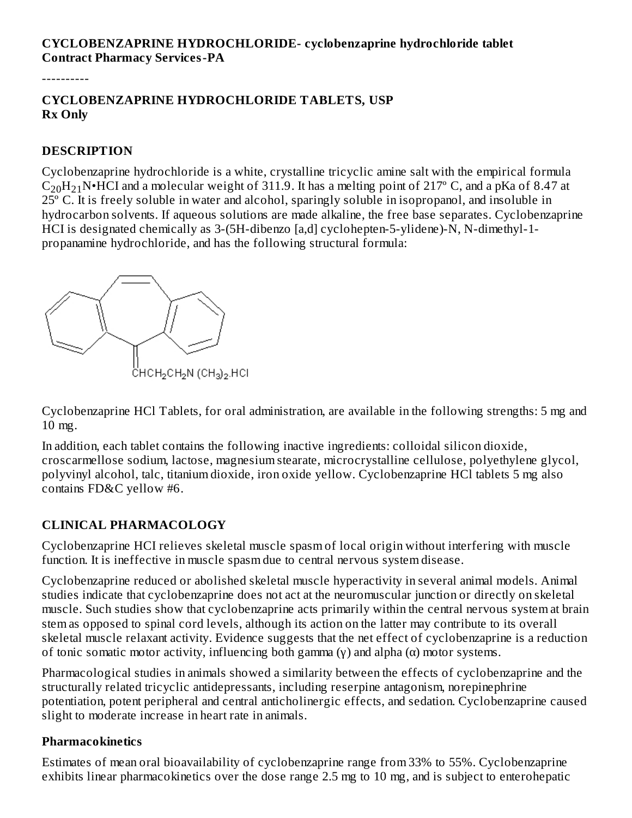#### **CYCLOBENZAPRINE HYDROCHLORIDE- cyclobenzaprine hydrochloride tablet Contract Pharmacy Services-PA**

----------

#### **CYCLOBENZAPRINE HYDROCHLORIDE TABLETS, USP Rx Only**

#### **DESCRIPTION**

Cyclobenzaprine hydrochloride is a white, crystalline tricyclic amine salt with the empirical formula  $\rm C_{20}H_{21}N$ •HCI and a molecular weight of 311.9. It has a melting point of 217° C, and a pKa of 8.47 at 25º C. It is freely soluble in water and alcohol, sparingly soluble in isopropanol, and insoluble in hydrocarbon solvents. If aqueous solutions are made alkaline, the free base separates. Cyclobenzaprine HCI is designated chemically as 3-(5H-dibenzo [a,d] cyclohepten-5-ylidene)-N, N-dimethyl-1 propanamine hydrochloride, and has the following structural formula:



Cyclobenzaprine HCl Tablets, for oral administration, are available in the following strengths: 5 mg and 10 mg.

In addition, each tablet contains the following inactive ingredients: colloidal silicon dioxide, croscarmellose sodium, lactose, magnesium stearate, microcrystalline cellulose, polyethylene glycol, polyvinyl alcohol, talc, titanium dioxide, iron oxide yellow. Cyclobenzaprine HCl tablets 5 mg also contains FD&C yellow #6.

#### **CLINICAL PHARMACOLOGY**

Cyclobenzaprine HCI relieves skeletal muscle spasm of local origin without interfering with muscle function. It is ineffective in muscle spasm due to central nervous system disease.

Cyclobenzaprine reduced or abolished skeletal muscle hyperactivity in several animal models. Animal studies indicate that cyclobenzaprine does not act at the neuromuscular junction or directly on skeletal muscle. Such studies show that cyclobenzaprine acts primarily within the central nervous system at brain stem as opposed to spinal cord levels, although its action on the latter may contribute to its overall skeletal muscle relaxant activity. Evidence suggests that the net effect of cyclobenzaprine is a reduction of tonic somatic motor activity, influencing both gamma (γ) and alpha (α) motor systems.

Pharmacological studies in animals showed a similarity between the effects of cyclobenzaprine and the structurally related tricyclic antidepressants, including reserpine antagonism, norepinephrine potentiation, potent peripheral and central anticholinergic effects, and sedation. Cyclobenzaprine caused slight to moderate increase in heart rate in animals.

#### **Pharmacokinetics**

Estimates of mean oral bioavailability of cyclobenzaprine range from 33% to 55%. Cyclobenzaprine exhibits linear pharmacokinetics over the dose range 2.5 mg to 10 mg, and is subject to enterohepatic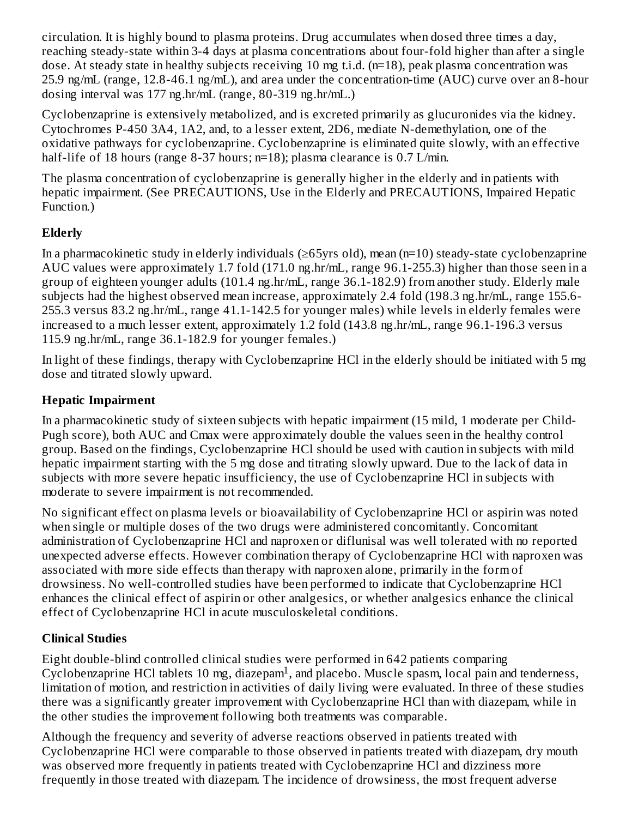circulation. It is highly bound to plasma proteins. Drug accumulates when dosed three times a day, reaching steady-state within 3-4 days at plasma concentrations about four-fold higher than after a single dose. At steady state in healthy subjects receiving 10 mg t.i.d. (n=18), peak plasma concentration was 25.9 ng/mL (range, 12.8-46.1 ng/mL), and area under the concentration-time (AUC) curve over an 8-hour dosing interval was 177 ng.hr/mL (range, 80-319 ng.hr/mL.)

Cyclobenzaprine is extensively metabolized, and is excreted primarily as glucuronides via the kidney. Cytochromes P-450 3A4, 1A2, and, to a lesser extent, 2D6, mediate N-demethylation, one of the oxidative pathways for cyclobenzaprine. Cyclobenzaprine is eliminated quite slowly, with an effective half-life of 18 hours (range 8-37 hours; n=18); plasma clearance is 0.7 L/min.

The plasma concentration of cyclobenzaprine is generally higher in the elderly and in patients with hepatic impairment. (See PRECAUTIONS, Use in the Elderly and PRECAUTIONS, Impaired Hepatic Function.)

# **Elderly**

In a pharmacokinetic study in elderly individuals (≥65yrs old), mean (n=10) steady-state cyclobenzaprine AUC values were approximately 1.7 fold (171.0 ng.hr/mL, range 96.1-255.3) higher than those seen in a group of eighteen younger adults (101.4 ng.hr/mL, range 36.1-182.9) from another study. Elderly male subjects had the highest observed mean increase, approximately 2.4 fold (198.3 ng.hr/mL, range 155.6- 255.3 versus 83.2 ng.hr/mL, range 41.1-142.5 for younger males) while levels in elderly females were increased to a much lesser extent, approximately 1.2 fold (143.8 ng.hr/mL, range 96.1-196.3 versus 115.9 ng.hr/mL, range 36.1-182.9 for younger females.)

In light of these findings, therapy with Cyclobenzaprine HCl in the elderly should be initiated with 5 mg dose and titrated slowly upward.

## **Hepatic Impairment**

In a pharmacokinetic study of sixteen subjects with hepatic impairment (15 mild, 1 moderate per Child-Pugh score), both AUC and Cmax were approximately double the values seen in the healthy control group. Based on the findings, Cyclobenzaprine HCl should be used with caution in subjects with mild hepatic impairment starting with the 5 mg dose and titrating slowly upward. Due to the lack of data in subjects with more severe hepatic insufficiency, the use of Cyclobenzaprine HCl in subjects with moderate to severe impairment is not recommended.

No significant effect on plasma levels or bioavailability of Cyclobenzaprine HCl or aspirin was noted when single or multiple doses of the two drugs were administered concomitantly. Concomitant administration of Cyclobenzaprine HCl and naproxen or diflunisal was well tolerated with no reported unexpected adverse effects. However combination therapy of Cyclobenzaprine HCl with naproxen was associated with more side effects than therapy with naproxen alone, primarily in the form of drowsiness. No well-controlled studies have been performed to indicate that Cyclobenzaprine HCl enhances the clinical effect of aspirin or other analgesics, or whether analgesics enhance the clinical effect of Cyclobenzaprine HCl in acute musculoskeletal conditions.

# **Clinical Studies**

Eight double-blind controlled clinical studies were performed in 642 patients comparing  $Cyclobenzaprine HCl tablets 10 mg, diazepam<sup>1</sup>, and placebo. Muscle spasm, local pain and tenderness,$ limitation of motion, and restriction in activities of daily living were evaluated. In three of these studies there was a significantly greater improvement with Cyclobenzaprine HCl than with diazepam, while in the other studies the improvement following both treatments was comparable.

Although the frequency and severity of adverse reactions observed in patients treated with Cyclobenzaprine HCl were comparable to those observed in patients treated with diazepam, dry mouth was observed more frequently in patients treated with Cyclobenzaprine HCl and dizziness more frequently in those treated with diazepam. The incidence of drowsiness, the most frequent adverse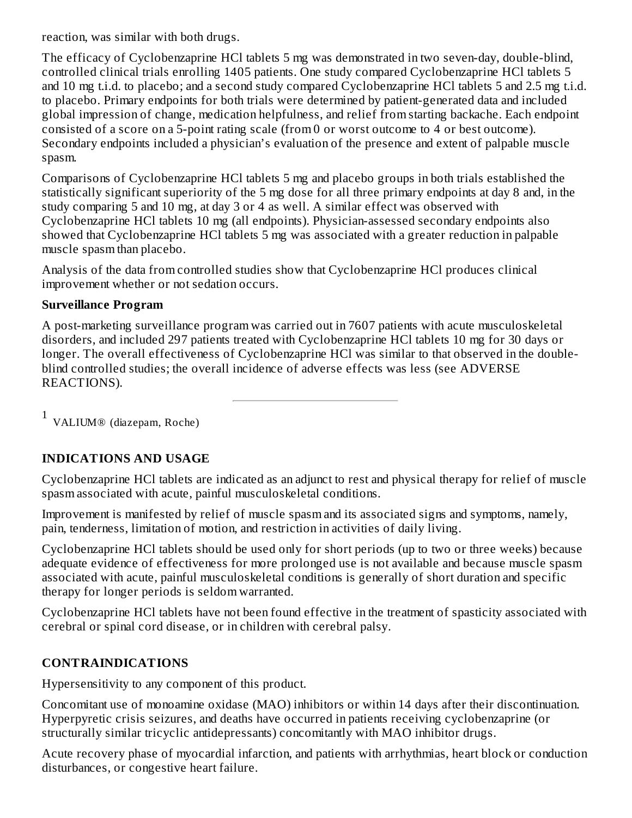reaction, was similar with both drugs.

The efficacy of Cyclobenzaprine HCl tablets 5 mg was demonstrated in two seven-day, double-blind, controlled clinical trials enrolling 1405 patients. One study compared Cyclobenzaprine HCl tablets 5 and 10 mg t.i.d. to placebo; and a second study compared Cyclobenzaprine HCl tablets 5 and 2.5 mg t.i.d. to placebo. Primary endpoints for both trials were determined by patient-generated data and included global impression of change, medication helpfulness, and relief from starting backache. Each endpoint consisted of a score on a 5-point rating scale (from 0 or worst outcome to 4 or best outcome). Secondary endpoints included a physician's evaluation of the presence and extent of palpable muscle spasm.

Comparisons of Cyclobenzaprine HCl tablets 5 mg and placebo groups in both trials established the statistically significant superiority of the 5 mg dose for all three primary endpoints at day 8 and, in the study comparing 5 and 10 mg, at day 3 or 4 as well. A similar effect was observed with Cyclobenzaprine HCl tablets 10 mg (all endpoints). Physician-assessed secondary endpoints also showed that Cyclobenzaprine HCl tablets 5 mg was associated with a greater reduction in palpable muscle spasm than placebo.

Analysis of the data from controlled studies show that Cyclobenzaprine HCl produces clinical improvement whether or not sedation occurs.

#### **Surveillance Program**

A post-marketing surveillance program was carried out in 7607 patients with acute musculoskeletal disorders, and included 297 patients treated with Cyclobenzaprine HCl tablets 10 mg for 30 days or longer. The overall effectiveness of Cyclobenzaprine HCl was similar to that observed in the doubleblind controlled studies; the overall incidence of adverse effects was less (see ADVERSE REACTIONS).

1 VALIUM® (diazepam, Roche)

## **INDICATIONS AND USAGE**

Cyclobenzaprine HCl tablets are indicated as an adjunct to rest and physical therapy for relief of muscle spasm associated with acute, painful musculoskeletal conditions.

Improvement is manifested by relief of muscle spasm and its associated signs and symptoms, namely, pain, tenderness, limitation of motion, and restriction in activities of daily living.

Cyclobenzaprine HCl tablets should be used only for short periods (up to two or three weeks) because adequate evidence of effectiveness for more prolonged use is not available and because muscle spasm associated with acute, painful musculoskeletal conditions is generally of short duration and specific therapy for longer periods is seldom warranted.

Cyclobenzaprine HCl tablets have not been found effective in the treatment of spasticity associated with cerebral or spinal cord disease, or in children with cerebral palsy.

## **CONTRAINDICATIONS**

Hypersensitivity to any component of this product.

Concomitant use of monoamine oxidase (MAO) inhibitors or within 14 days after their discontinuation. Hyperpyretic crisis seizures, and deaths have occurred in patients receiving cyclobenzaprine (or structurally similar tricyclic antidepressants) concomitantly with MAO inhibitor drugs.

Acute recovery phase of myocardial infarction, and patients with arrhythmias, heart block or conduction disturbances, or congestive heart failure.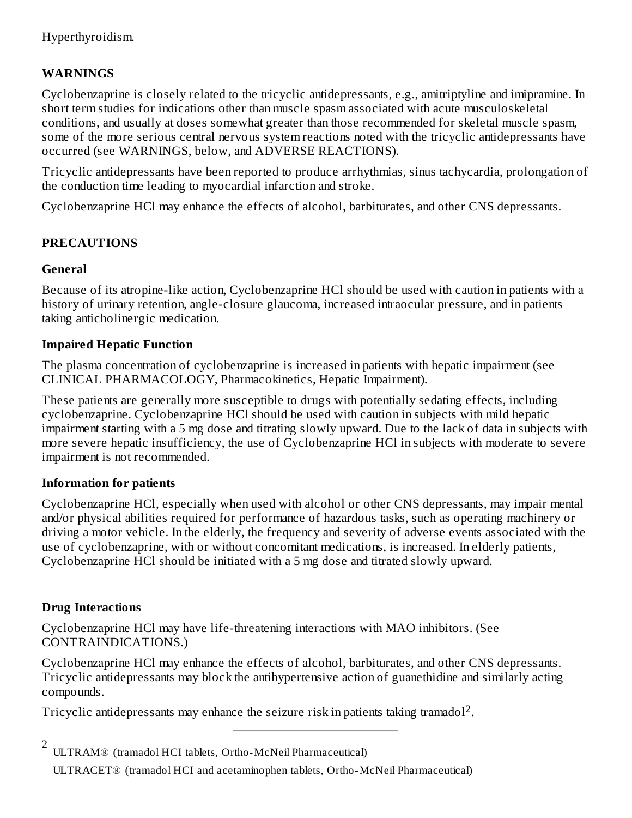## **WARNINGS**

Cyclobenzaprine is closely related to the tricyclic antidepressants, e.g., amitriptyline and imipramine. In short term studies for indications other than muscle spasm associated with acute musculoskeletal conditions, and usually at doses somewhat greater than those recommended for skeletal muscle spasm, some of the more serious central nervous system reactions noted with the tricyclic antidepressants have occurred (see WARNINGS, below, and ADVERSE REACTIONS).

Tricyclic antidepressants have been reported to produce arrhythmias, sinus tachycardia, prolongation of the conduction time leading to myocardial infarction and stroke.

Cyclobenzaprine HCl may enhance the effects of alcohol, barbiturates, and other CNS depressants.

## **PRECAUTIONS**

#### **General**

Because of its atropine-like action, Cyclobenzaprine HCl should be used with caution in patients with a history of urinary retention, angle-closure glaucoma, increased intraocular pressure, and in patients taking anticholinergic medication.

#### **Impaired Hepatic Function**

The plasma concentration of cyclobenzaprine is increased in patients with hepatic impairment (see CLINICAL PHARMACOLOGY, Pharmacokinetics, Hepatic Impairment).

These patients are generally more susceptible to drugs with potentially sedating effects, including cyclobenzaprine. Cyclobenzaprine HCl should be used with caution in subjects with mild hepatic impairment starting with a 5 mg dose and titrating slowly upward. Due to the lack of data in subjects with more severe hepatic insufficiency, the use of Cyclobenzaprine HCl in subjects with moderate to severe impairment is not recommended.

#### **Information for patients**

Cyclobenzaprine HCl, especially when used with alcohol or other CNS depressants, may impair mental and/or physical abilities required for performance of hazardous tasks, such as operating machinery or driving a motor vehicle. In the elderly, the frequency and severity of adverse events associated with the use of cyclobenzaprine, with or without concomitant medications, is increased. In elderly patients, Cyclobenzaprine HCl should be initiated with a 5 mg dose and titrated slowly upward.

## **Drug Interactions**

Cyclobenzaprine HCl may have life-threatening interactions with MAO inhibitors. (See CONTRAINDICATIONS.)

Cyclobenzaprine HCl may enhance the effects of alcohol, barbiturates, and other CNS depressants. Tricyclic antidepressants may block the antihypertensive action of guanethidine and similarly acting compounds.

Tricyclic antidepressants may enhance the seizure risk in patients taking tramadol<sup>2</sup>.

2 ULTRAM® (tramadol HCI tablets, Ortho-McNeil Pharmaceutical)

ULTRACET® (tramadol HCI and acetaminophen tablets, Ortho-McNeil Pharmaceutical)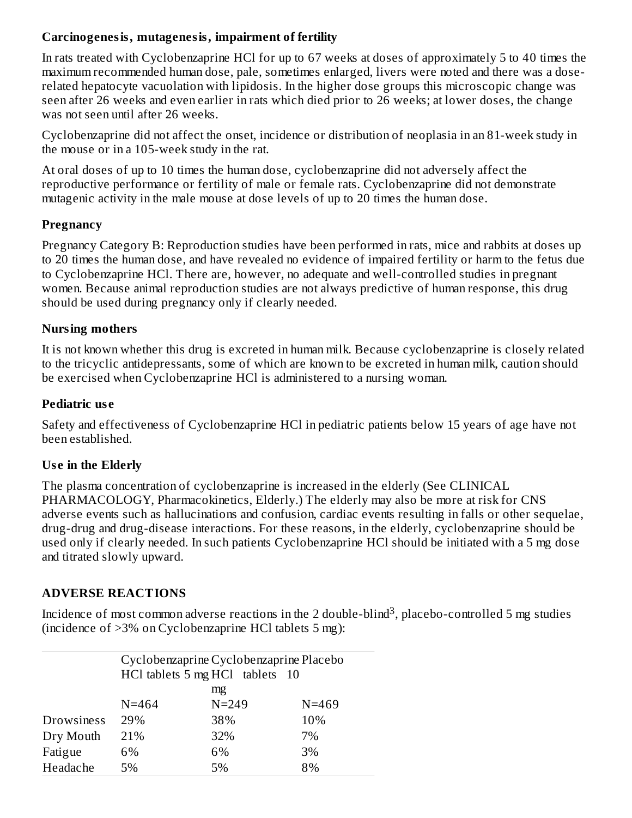#### **Carcinogenesis, mutagenesis, impairment of fertility**

In rats treated with Cyclobenzaprine HCl for up to 67 weeks at doses of approximately 5 to 40 times the maximum recommended human dose, pale, sometimes enlarged, livers were noted and there was a doserelated hepatocyte vacuolation with lipidosis. In the higher dose groups this microscopic change was seen after 26 weeks and even earlier in rats which died prior to 26 weeks; at lower doses, the change was not seen until after 26 weeks.

Cyclobenzaprine did not affect the onset, incidence or distribution of neoplasia in an 81-week study in the mouse or in a 105-week study in the rat.

At oral doses of up to 10 times the human dose, cyclobenzaprine did not adversely affect the reproductive performance or fertility of male or female rats. Cyclobenzaprine did not demonstrate mutagenic activity in the male mouse at dose levels of up to 20 times the human dose.

#### **Pregnancy**

Pregnancy Category B: Reproduction studies have been performed in rats, mice and rabbits at doses up to 20 times the human dose, and have revealed no evidence of impaired fertility or harm to the fetus due to Cyclobenzaprine HCl. There are, however, no adequate and well-controlled studies in pregnant women. Because animal reproduction studies are not always predictive of human response, this drug should be used during pregnancy only if clearly needed.

#### **Nursing mothers**

It is not known whether this drug is excreted in human milk. Because cyclobenzaprine is closely related to the tricyclic antidepressants, some of which are known to be excreted in human milk, caution should be exercised when Cyclobenzaprine HCl is administered to a nursing woman.

#### **Pediatric us e**

Safety and effectiveness of Cyclobenzaprine HCl in pediatric patients below 15 years of age have not been established.

## **Us e in the Elderly**

The plasma concentration of cyclobenzaprine is increased in the elderly (See CLINICAL PHARMACOLOGY, Pharmacokinetics, Elderly.) The elderly may also be more at risk for CNS adverse events such as hallucinations and confusion, cardiac events resulting in falls or other sequelae, drug-drug and drug-disease interactions. For these reasons, in the elderly, cyclobenzaprine should be used only if clearly needed. In such patients Cyclobenzaprine HCl should be initiated with a 5 mg dose and titrated slowly upward.

## **ADVERSE REACTIONS**

Incidence of most common adverse reactions in the 2 double-blind $^3$ , placebo-controlled 5 mg studies (incidence of >3% on Cyclobenzaprine HCl tablets 5 mg):

|                   | Cyclobenzaprine Cyclobenzaprine Placebo |                                 |           |  |
|-------------------|-----------------------------------------|---------------------------------|-----------|--|
|                   |                                         | HCl tablets 5 mg HCl tablets 10 |           |  |
|                   |                                         | mg                              |           |  |
|                   | $N = 464$                               | $N = 249$                       | $N = 469$ |  |
| <b>Drowsiness</b> | 29%                                     | 38%                             | 10%       |  |
| Dry Mouth         | 21%                                     | 32%                             | 7%        |  |
| Fatigue           | 6%                                      | 6%                              | 3%        |  |
| Headache          | 5%                                      | 5%                              | 8%        |  |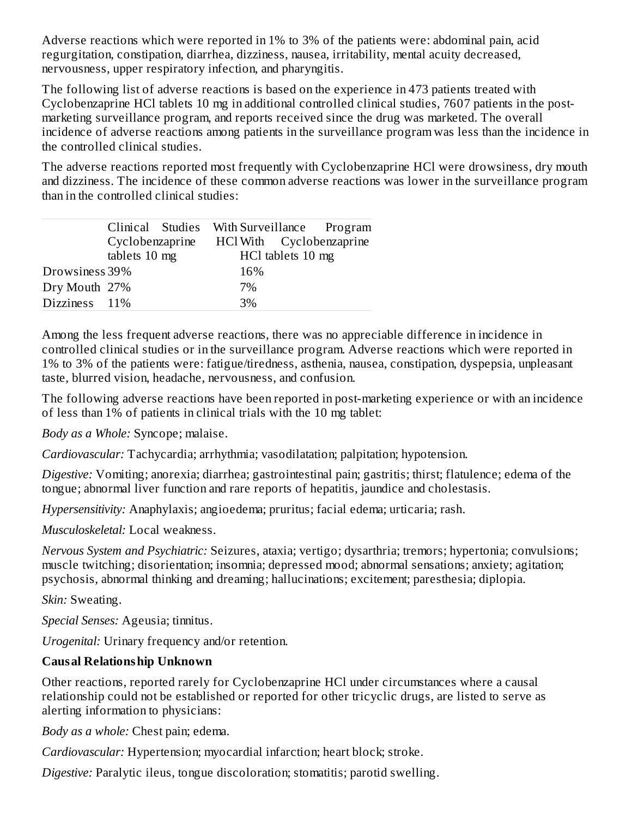Adverse reactions which were reported in 1% to 3% of the patients were: abdominal pain, acid regurgitation, constipation, diarrhea, dizziness, nausea, irritability, mental acuity decreased, nervousness, upper respiratory infection, and pharyngitis.

The following list of adverse reactions is based on the experience in 473 patients treated with Cyclobenzaprine HCl tablets 10 mg in additional controlled clinical studies, 7607 patients in the postmarketing surveillance program, and reports received since the drug was marketed. The overall incidence of adverse reactions among patients in the surveillance program was less than the incidence in the controlled clinical studies.

The adverse reactions reported most frequently with Cyclobenzaprine HCl were drowsiness, dry mouth and dizziness. The incidence of these common adverse reactions was lower in the surveillance program than in the controlled clinical studies:

|                |                                  |  |                   | Clinical Studies With Surveillance Program |  |
|----------------|----------------------------------|--|-------------------|--------------------------------------------|--|
|                | Cyclobenzaprine<br>tablets 10 mg |  |                   | HCl With Cyclobenzaprine                   |  |
|                |                                  |  | HCl tablets 10 mg |                                            |  |
| Drowsiness 39% |                                  |  | 16%               |                                            |  |
| Dry Mouth 27%  |                                  |  | 7%                |                                            |  |
| Dizziness 11%  |                                  |  | 3%                |                                            |  |

Among the less frequent adverse reactions, there was no appreciable difference in incidence in controlled clinical studies or in the surveillance program. Adverse reactions which were reported in 1% to 3% of the patients were: fatigue/tiredness, asthenia, nausea, constipation, dyspepsia, unpleasant taste, blurred vision, headache, nervousness, and confusion.

The following adverse reactions have been reported in post-marketing experience or with an incidence of less than 1% of patients in clinical trials with the 10 mg tablet:

*Body as a Whole:* Syncope; malaise.

*Cardiovascular:* Tachycardia; arrhythmia; vasodilatation; palpitation; hypotension.

*Digestive:* Vomiting; anorexia; diarrhea; gastrointestinal pain; gastritis; thirst; flatulence; edema of the tongue; abnormal liver function and rare reports of hepatitis, jaundice and cholestasis.

*Hypersensitivity:* Anaphylaxis; angioedema; pruritus; facial edema; urticaria; rash.

*Musculoskeletal:* Local weakness.

*Nervous System and Psychiatric:* Seizures, ataxia; vertigo; dysarthria; tremors; hypertonia; convulsions; muscle twitching; disorientation; insomnia; depressed mood; abnormal sensations; anxiety; agitation; psychosis, abnormal thinking and dreaming; hallucinations; excitement; paresthesia; diplopia.

*Skin:* Sweating.

*Special Senses:* Ageusia; tinnitus.

*Urogenital:* Urinary frequency and/or retention.

#### **Causal Relationship Unknown**

Other reactions, reported rarely for Cyclobenzaprine HCl under circumstances where a causal relationship could not be established or reported for other tricyclic drugs, are listed to serve as alerting information to physicians:

*Body as a whole:* Chest pain; edema.

*Cardiovascular:* Hypertension; myocardial infarction; heart block; stroke.

*Digestive:* Paralytic ileus, tongue discoloration; stomatitis; parotid swelling.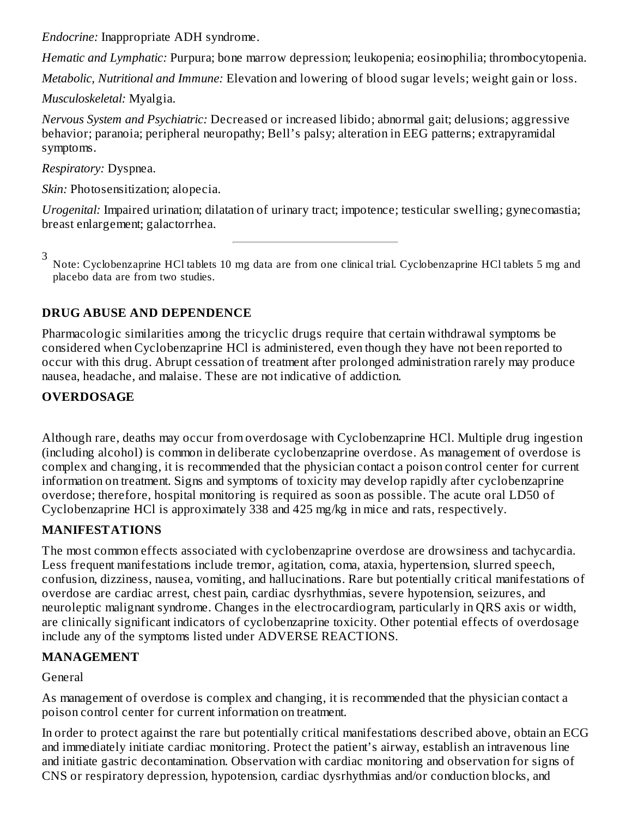*Endocrine:* Inappropriate ADH syndrome.

*Hematic and Lymphatic:* Purpura; bone marrow depression; leukopenia; eosinophilia; thrombocytopenia.

*Metabolic, Nutritional and Immune:* Elevation and lowering of blood sugar levels; weight gain or loss.

*Musculoskeletal:* Myalgia.

*Nervous System and Psychiatric:* Decreased or increased libido; abnormal gait; delusions; aggressive behavior; paranoia; peripheral neuropathy; Bell's palsy; alteration in EEG patterns; extrapyramidal symptoms.

*Respiratory:* Dyspnea.

*Skin:* Photosensitization; alopecia.

*Urogenital:* Impaired urination; dilatation of urinary tract; impotence; testicular swelling; gynecomastia; breast enlargement; galactorrhea.

3

Note: Cyclobenzaprine HCl tablets 10 mg data are from one clinical trial. Cyclobenzaprine HCl tablets 5 mg and placebo data are from two studies.

# **DRUG ABUSE AND DEPENDENCE**

Pharmacologic similarities among the tricyclic drugs require that certain withdrawal symptoms be considered when Cyclobenzaprine HCl is administered, even though they have not been reported to occur with this drug. Abrupt cessation of treatment after prolonged administration rarely may produce nausea, headache, and malaise. These are not indicative of addiction.

## **OVERDOSAGE**

Although rare, deaths may occur from overdosage with Cyclobenzaprine HCl. Multiple drug ingestion (including alcohol) is common in deliberate cyclobenzaprine overdose. As management of overdose is complex and changing, it is recommended that the physician contact a poison control center for current information on treatment. Signs and symptoms of toxicity may develop rapidly after cyclobenzaprine overdose; therefore, hospital monitoring is required as soon as possible. The acute oral LD50 of Cyclobenzaprine HCl is approximately 338 and 425 mg/kg in mice and rats, respectively.

## **MANIFESTATIONS**

The most common effects associated with cyclobenzaprine overdose are drowsiness and tachycardia. Less frequent manifestations include tremor, agitation, coma, ataxia, hypertension, slurred speech, confusion, dizziness, nausea, vomiting, and hallucinations. Rare but potentially critical manifestations of overdose are cardiac arrest, chest pain, cardiac dysrhythmias, severe hypotension, seizures, and neuroleptic malignant syndrome. Changes in the electrocardiogram, particularly in QRS axis or width, are clinically significant indicators of cyclobenzaprine toxicity. Other potential effects of overdosage include any of the symptoms listed under ADVERSE REACTIONS.

# **MANAGEMENT**

General

As management of overdose is complex and changing, it is recommended that the physician contact a poison control center for current information on treatment.

In order to protect against the rare but potentially critical manifestations described above, obtain an ECG and immediately initiate cardiac monitoring. Protect the patient's airway, establish an intravenous line and initiate gastric decontamination. Observation with cardiac monitoring and observation for signs of CNS or respiratory depression, hypotension, cardiac dysrhythmias and/or conduction blocks, and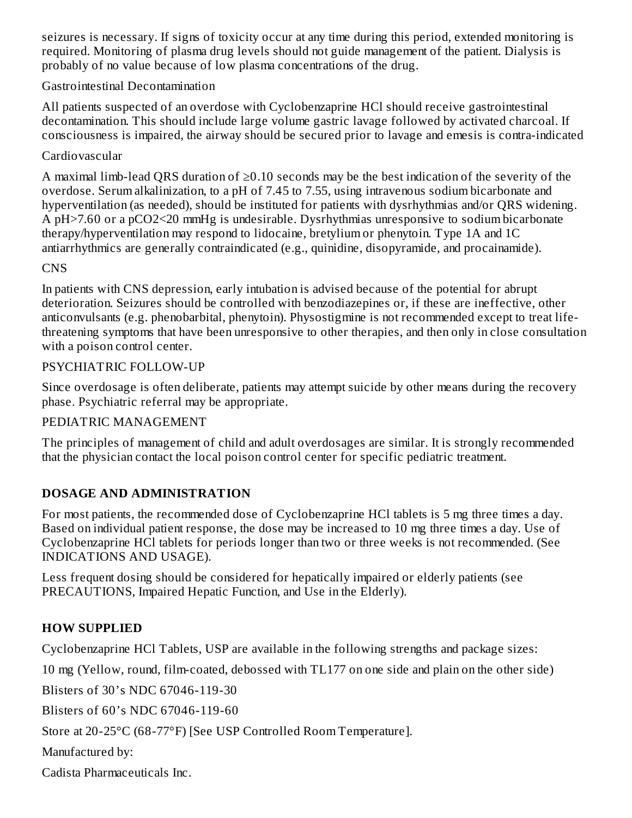seizures is necessary. If signs of toxicity occur at any time during this period, extended monitoring is required. Monitoring of plasma drug levels should not guide management of the patient. Dialysis is probably of no value because of low plasma concentrations of the drug.

#### Gastrointestinal Decontamination

All patients suspected of an overdose with Cyclobenzaprine HCl should receive gastrointestinal decontamination. This should include large volume gastric lavage followed by activated charcoal. If consciousness is impaired, the airway should be secured prior to lavage and emesis is contra-indicated

### Cardiovascular

A maximal limb-lead QRS duration of ≥0.10 seconds may be the best indication of the severity of the overdose. Serum alkalinization, to a pH of 7.45 to 7.55, using intravenous sodium bicarbonate and hyperventilation (as needed), should be instituted for patients with dysrhythmias and/or QRS widening. A pH>7.60 or a pCO2<20 mmHg is undesirable. Dysrhythmias unresponsive to sodium bicarbonate therapy/hyperventilation may respond to lidocaine, bretylium or phenytoin. Type 1A and 1C antiarrhythmics are generally contraindicated (e.g., quinidine, disopyramide, and procainamide).

#### CNS

In patients with CNS depression, early intubation is advised because of the potential for abrupt deterioration. Seizures should be controlled with benzodiazepines or, if these are ineffective, other anticonvulsants (e.g. phenobarbital, phenytoin). Physostigmine is not recommended except to treat lifethreatening symptoms that have been unresponsive to other therapies, and then only in close consultation with a poison control center.

#### PSYCHIATRIC FOLLOW-UP

Since overdosage is often deliberate, patients may attempt suicide by other means during the recovery phase. Psychiatric referral may be appropriate.

#### PEDIATRIC MANAGEMENT

The principles of management of child and adult overdosages are similar. It is strongly recommended that the physician contact the local poison control center for specific pediatric treatment.

## **DOSAGE AND ADMINISTRATION**

For most patients, the recommended dose of Cyclobenzaprine HCl tablets is 5 mg three times a day. Based on individual patient response, the dose may be increased to 10 mg three times a day. Use of Cyclobenzaprine HCl tablets for periods longer than two or three weeks is not recommended. (See INDICATIONS AND USAGE).

Less frequent dosing should be considered for hepatically impaired or elderly patients (see PRECAUTIONS, Impaired Hepatic Function, and Use in the Elderly).

## **HOW SUPPLIED**

Cyclobenzaprine HCl Tablets, USP are available in the following strengths and package sizes:

10 mg (Yellow, round, film-coated, debossed with TL177 on one side and plain on the other side)

Blisters of 30's NDC 67046-119-30

Blisters of 60's NDC 67046-119-60

Store at 20-25°C (68-77°F) [See USP Controlled Room Temperature].

Manufactured by:

Cadista Pharmaceuticals Inc.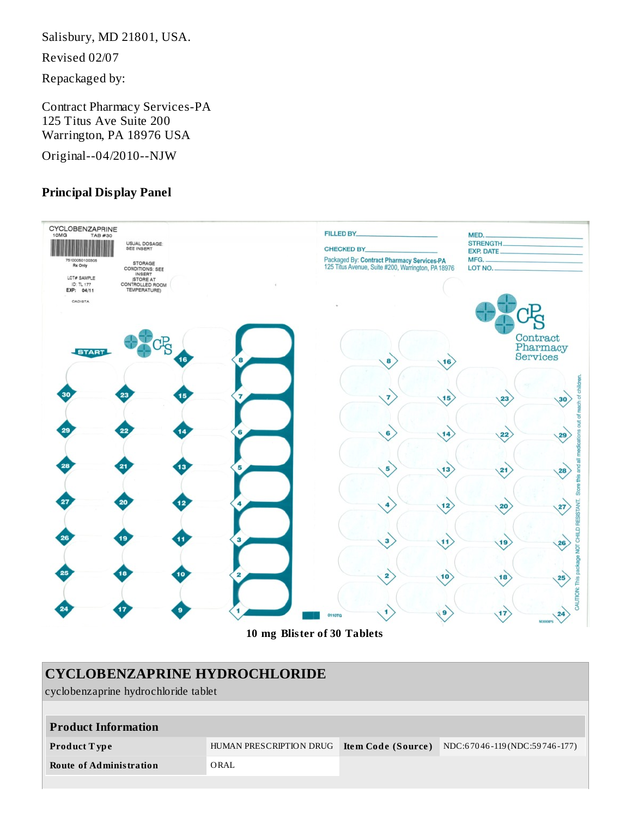Salisbury, MD 21801, USA.

Revised 02/07

Repackaged by:

Contract Pharmacy Services-PA 125 Titus Ave Suite 200 Warrington, PA 18976 USA

Original--04/2010--NJW

#### **Principal Display Panel**



**10 mg Blister of 30 Tablets**

# **CYCLOBENZAPRINE HYDROCHLORIDE**

cyclobenzaprine hydrochloride tablet

| <b>Product Information</b> |                         |                    |                              |
|----------------------------|-------------------------|--------------------|------------------------------|
| Product Type               | HUMAN PRESCRIPTION DRUG | Item Code (Source) | NDC:67046-119(NDC:59746-177) |
| Route of Administration    | ORAL                    |                    |                              |